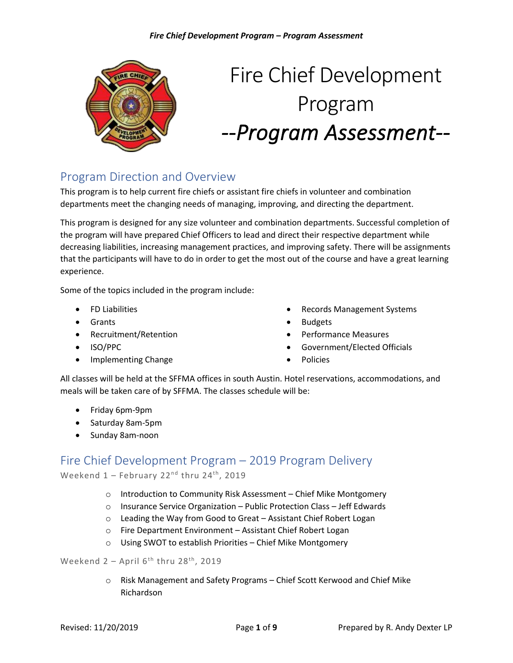

# Fire Chief Development Program *--Program Assessment--*

## Program Direction and Overview

This program is to help current fire chiefs or assistant fire chiefs in volunteer and combination departments meet the changing needs of managing, improving, and directing the department.

This program is designed for any size volunteer and combination departments. Successful completion of the program will have prepared Chief Officers to lead and direct their respective department while decreasing liabilities, increasing management practices, and improving safety. There will be assignments that the participants will have to do in order to get the most out of the course and have a great learning experience.

Some of the topics included in the program include:

- FD Liabilities
- Grants
- Recruitment/Retention
- ISO/PPC
- Implementing Change
- Records Management Systems
- Budgets
- Performance Measures
- Government/Elected Officials
- Policies

All classes will be held at the SFFMA offices in south Austin. Hotel reservations, accommodations, and meals will be taken care of by SFFMA. The classes schedule will be:

- Friday 6pm-9pm
- Saturday 8am-5pm
- Sunday 8am-noon

### Fire Chief Development Program – 2019 Program Delivery

Weekend  $1$  – February 22<sup>nd</sup> thru 24<sup>th</sup>, 2019

- o Introduction to Community Risk Assessment Chief Mike Montgomery
- o Insurance Service Organization Public Protection Class Jeff Edwards
- o Leading the Way from Good to Great Assistant Chief Robert Logan
- o Fire Department Environment Assistant Chief Robert Logan
- o Using SWOT to establish Priorities Chief Mike Montgomery

#### Weekend  $2 -$  April  $6^{th}$  thru  $28^{th}$ , 2019

o Risk Management and Safety Programs – Chief Scott Kerwood and Chief Mike Richardson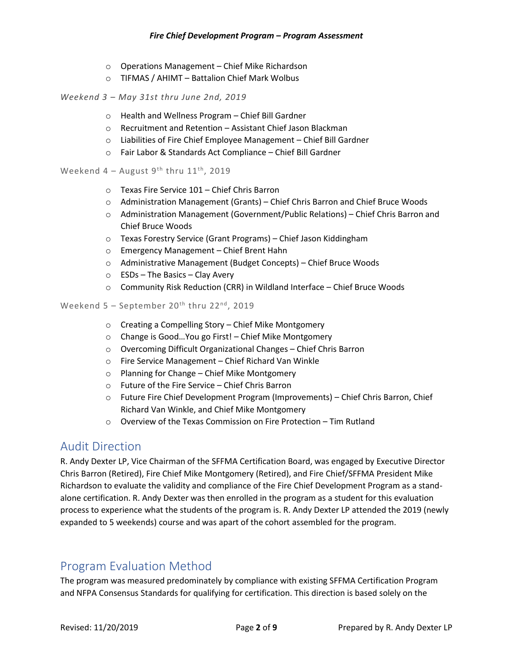- o Operations Management Chief Mike Richardson
- o TIFMAS / AHIMT Battalion Chief Mark Wolbus

#### *Weekend 3 – May 31st thru June 2nd, 2019*

- o Health and Wellness Program Chief Bill Gardner
- o Recruitment and Retention Assistant Chief Jason Blackman
- o Liabilities of Fire Chief Employee Management Chief Bill Gardner
- o Fair Labor & Standards Act Compliance Chief Bill Gardner

#### Weekend  $4 -$  August  $9<sup>th</sup>$  thru  $11<sup>th</sup>$ , 2019

- o Texas Fire Service 101 Chief Chris Barron
- o Administration Management (Grants) Chief Chris Barron and Chief Bruce Woods
- $\circ$  Administration Management (Government/Public Relations) Chief Chris Barron and Chief Bruce Woods
- o Texas Forestry Service (Grant Programs) Chief Jason Kiddingham
- o Emergency Management Chief Brent Hahn
- o Administrative Management (Budget Concepts) Chief Bruce Woods
- $\circ$  ESDs The Basics Clay Avery
- $\circ$  Community Risk Reduction (CRR) in Wildland Interface Chief Bruce Woods

#### Weekend  $5 -$  September  $20<sup>th</sup>$  thru  $22<sup>nd</sup>$ , 2019

- o Creating a Compelling Story Chief Mike Montgomery
- o Change is Good…You go First! Chief Mike Montgomery
- o Overcoming Difficult Organizational Changes Chief Chris Barron
- o Fire Service Management Chief Richard Van Winkle
- o Planning for Change Chief Mike Montgomery
- o Future of the Fire Service Chief Chris Barron
- o Future Fire Chief Development Program (Improvements) Chief Chris Barron, Chief Richard Van Winkle, and Chief Mike Montgomery
- $\circ$  Overview of the Texas Commission on Fire Protection Tim Rutland

#### Audit Direction

R. Andy Dexter LP, Vice Chairman of the SFFMA Certification Board, was engaged by Executive Director Chris Barron (Retired), Fire Chief Mike Montgomery (Retired), and Fire Chief/SFFMA President Mike Richardson to evaluate the validity and compliance of the Fire Chief Development Program as a standalone certification. R. Andy Dexter was then enrolled in the program as a student for this evaluation process to experience what the students of the program is. R. Andy Dexter LP attended the 2019 (newly expanded to 5 weekends) course and was apart of the cohort assembled for the program.

## Program Evaluation Method

The program was measured predominately by compliance with existing SFFMA Certification Program and NFPA Consensus Standards for qualifying for certification. This direction is based solely on the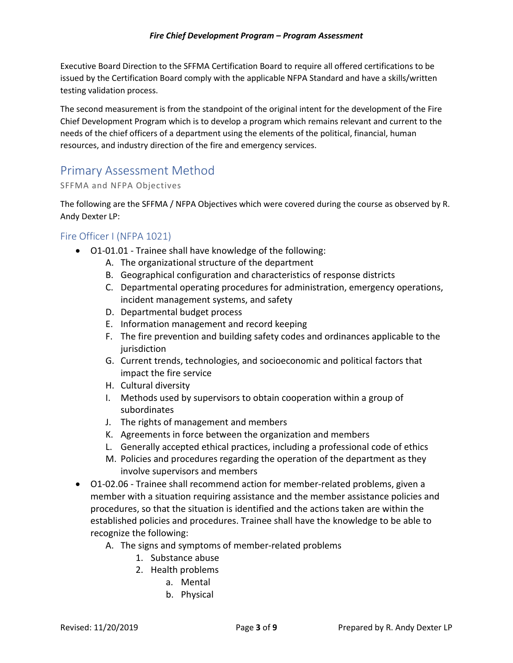Executive Board Direction to the SFFMA Certification Board to require all offered certifications to be issued by the Certification Board comply with the applicable NFPA Standard and have a skills/written testing validation process.

The second measurement is from the standpoint of the original intent for the development of the Fire Chief Development Program which is to develop a program which remains relevant and current to the needs of the chief officers of a department using the elements of the political, financial, human resources, and industry direction of the fire and emergency services.

## Primary Assessment Method

SFFMA and NFPA Objectives

The following are the SFFMA / NFPA Objectives which were covered during the course as observed by R. Andy Dexter LP:

#### Fire Officer I (NFPA 1021)

- O1‐01.01 Trainee shall have knowledge of the following:
	- A. The organizational structure of the department
	- B. Geographical configuration and characteristics of response districts
	- C. Departmental operating procedures for administration, emergency operations, incident management systems, and safety
	- D. Departmental budget process
	- E. Information management and record keeping
	- F. The fire prevention and building safety codes and ordinances applicable to the jurisdiction
	- G. Current trends, technologies, and socioeconomic and political factors that impact the fire service
	- H. Cultural diversity
	- I. Methods used by supervisors to obtain cooperation within a group of subordinates
	- J. The rights of management and members
	- K. Agreements in force between the organization and members
	- L. Generally accepted ethical practices, including a professional code of ethics
	- M. Policies and procedures regarding the operation of the department as they involve supervisors and members
- O1‐02.06 Trainee shall recommend action for member‐related problems, given a member with a situation requiring assistance and the member assistance policies and procedures, so that the situation is identified and the actions taken are within the established policies and procedures. Trainee shall have the knowledge to be able to recognize the following:
	- A. The signs and symptoms of member‐related problems
		- 1. Substance abuse
		- 2. Health problems
			- a. Mental
			- b. Physical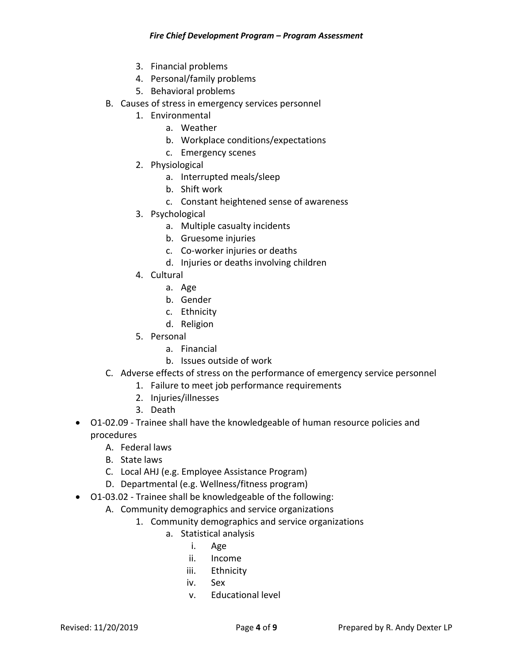- 3. Financial problems
- 4. Personal/family problems
- 5. Behavioral problems
- B. Causes of stress in emergency services personnel
	- 1. Environmental
		- a. Weather
		- b. Workplace conditions/expectations
		- c. Emergency scenes
	- 2. Physiological
		- a. Interrupted meals/sleep
			- b. Shift work
			- c. Constant heightened sense of awareness
	- 3. Psychological
		- a. Multiple casualty incidents
		- b. Gruesome injuries
		- c. Co‐worker injuries or deaths
		- d. Injuries or deaths involving children
	- 4. Cultural
		- a. Age
		- b. Gender
		- c. Ethnicity
		- d. Religion
	- 5. Personal
		- a. Financial
		- b. Issues outside of work
- C. Adverse effects of stress on the performance of emergency service personnel
	- 1. Failure to meet job performance requirements
	- 2. Injuries/illnesses
	- 3. Death
- O1-02.09 Trainee shall have the knowledgeable of human resource policies and procedures
	- A. Federal laws
	- B. State laws
	- C. Local AHJ (e.g. Employee Assistance Program)
	- D. Departmental (e.g. Wellness/fitness program)
- O1‐03.02 Trainee shall be knowledgeable of the following:
	- A. Community demographics and service organizations
		- 1. Community demographics and service organizations
			- a. Statistical analysis
				- i. Age
				- ii. Income
				- iii. Ethnicity
				- iv. Sex
				- v. Educational level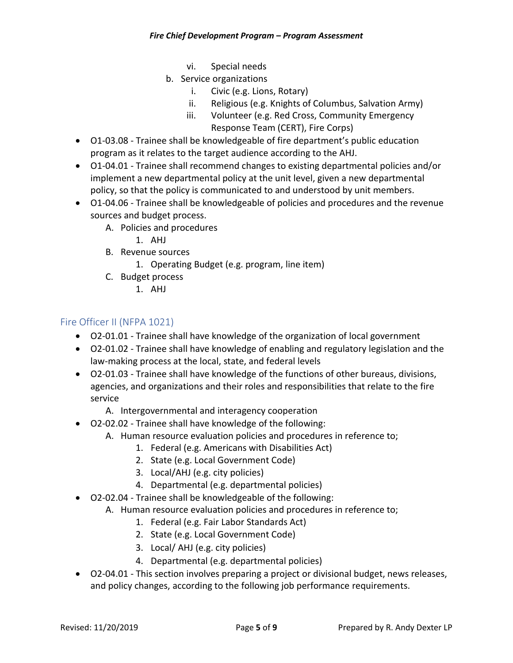- vi. Special needs
- b. Service organizations
	- i. Civic (e.g. Lions, Rotary)
	- ii. Religious (e.g. Knights of Columbus, Salvation Army)
	- iii. Volunteer (e.g. Red Cross, Community Emergency Response Team (CERT), Fire Corps)
- O1-03.08 Trainee shall be knowledgeable of fire department's public education program as it relates to the target audience according to the AHJ.
- O1‐04.01 Trainee shall recommend changes to existing departmental policies and/or implement a new departmental policy at the unit level, given a new departmental policy, so that the policy is communicated to and understood by unit members.
- O1-04.06 Trainee shall be knowledgeable of policies and procedures and the revenue sources and budget process.
	- A. Policies and procedures
		- 1. AHJ
	- B. Revenue sources
		- 1. Operating Budget (e.g. program, line item)
	- C. Budget process
		- 1. AHJ

#### Fire Officer II (NFPA 1021)

- O2‐01.01 Trainee shall have knowledge of the organization of local government
- O2‐01.02 Trainee shall have knowledge of enabling and regulatory legislation and the law‐making process at the local, state, and federal levels
- O2‐01.03 Trainee shall have knowledge of the functions of other bureaus, divisions, agencies, and organizations and their roles and responsibilities that relate to the fire service
	- A. Intergovernmental and interagency cooperation
- O2‐02.02 Trainee shall have knowledge of the following:
	- A. Human resource evaluation policies and procedures in reference to;
		- 1. Federal (e.g. Americans with Disabilities Act)
		- 2. State (e.g. Local Government Code)
		- 3. Local/AHJ (e.g. city policies)
		- 4. Departmental (e.g. departmental policies)
- O2‐02.04 Trainee shall be knowledgeable of the following:
	- A. Human resource evaluation policies and procedures in reference to;
		- 1. Federal (e.g. Fair Labor Standards Act)
		- 2. State (e.g. Local Government Code)
		- 3. Local/ AHJ (e.g. city policies)
		- 4. Departmental (e.g. departmental policies)
- O2‐04.01 This section involves preparing a project or divisional budget, news releases, and policy changes, according to the following job performance requirements.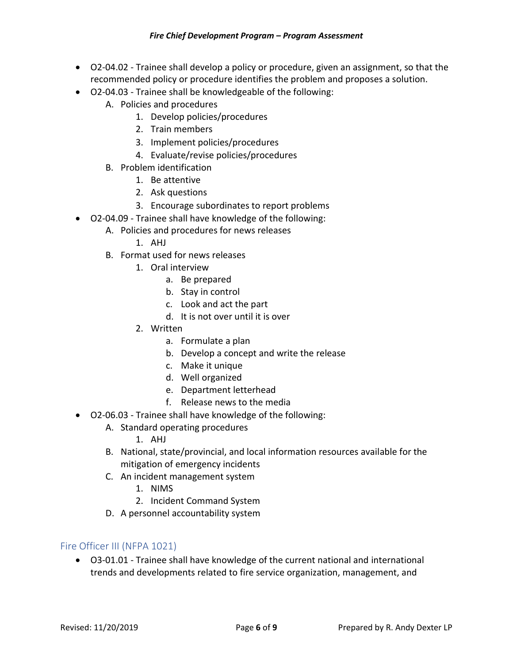- O2‐04.02 Trainee shall develop a policy or procedure, given an assignment, so that the recommended policy or procedure identifies the problem and proposes a solution.
- O2‐04.03 Trainee shall be knowledgeable of the following:
	- A. Policies and procedures
		- 1. Develop policies/procedures
		- 2. Train members
		- 3. Implement policies/procedures
		- 4. Evaluate/revise policies/procedures
	- B. Problem identification
		- 1. Be attentive
		- 2. Ask questions
		- 3. Encourage subordinates to report problems
- O2‐04.09 Trainee shall have knowledge of the following:
	- A. Policies and procedures for news releases
		- 1. AHJ
		- B. Format used for news releases
			- 1. Oral interview
				- a. Be prepared
				- b. Stay in control
				- c. Look and act the part
				- d. It is not over until it is over
			- 2. Written
				- a. Formulate a plan
					- b. Develop a concept and write the release
					- c. Make it unique
					- d. Well organized
					- e. Department letterhead
				- f. Release news to the media
- O2‐06.03 Trainee shall have knowledge of the following:
	- A. Standard operating procedures
		- 1. AHJ
	- B. National, state/provincial, and local information resources available for the mitigation of emergency incidents
	- C. An incident management system
		- 1. NIMS
		- 2. Incident Command System
	- D. A personnel accountability system

#### Fire Officer III (NFPA 1021)

• O3‐01.01 - Trainee shall have knowledge of the current national and international trends and developments related to fire service organization, management, and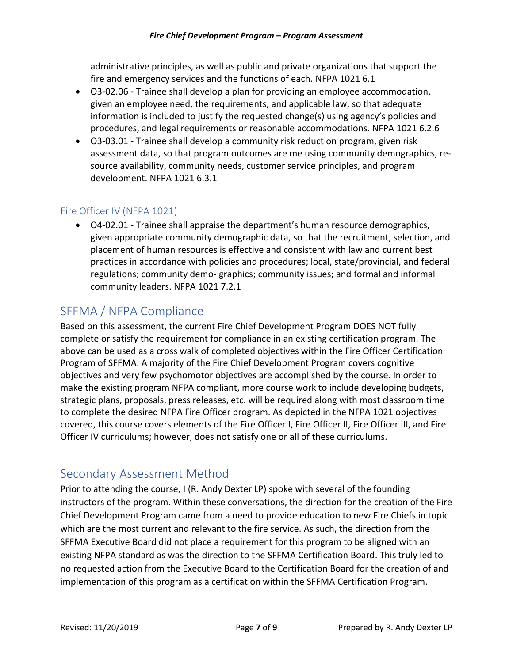#### *Fire Chief Development Program – Program Assessment*

administrative principles, as well as public and private organizations that support the fire and emergency services and the functions of each. NFPA 1021 6.1

- O3‐02.06 Trainee shall develop a plan for providing an employee accommodation, given an employee need, the requirements, and applicable law, so that adequate information is included to justify the requested change(s) using agency's policies and procedures, and legal requirements or reasonable accommodations. NFPA 1021 6.2.6
- O3-03.01 Trainee shall develop a community risk reduction program, given risk assessment data, so that program outcomes are me using community demographics, re‐ source availability, community needs, customer service principles, and program development. NFPA 1021 6.3.1

#### Fire Officer IV (NFPA 1021)

• O4‐02.01 - Trainee shall appraise the department's human resource demographics, given appropriate community demographic data, so that the recruitment, selection, and placement of human resources is effective and consistent with law and current best practices in accordance with policies and procedures; local, state/provincial, and federal regulations; community demo‐ graphics; community issues; and formal and informal community leaders. NFPA 1021 7.2.1

## SFFMA / NFPA Compliance

Based on this assessment, the current Fire Chief Development Program DOES NOT fully complete or satisfy the requirement for compliance in an existing certification program. The above can be used as a cross walk of completed objectives within the Fire Officer Certification Program of SFFMA. A majority of the Fire Chief Development Program covers cognitive objectives and very few psychomotor objectives are accomplished by the course. In order to make the existing program NFPA compliant, more course work to include developing budgets, strategic plans, proposals, press releases, etc. will be required along with most classroom time to complete the desired NFPA Fire Officer program. As depicted in the NFPA 1021 objectives covered, this course covers elements of the Fire Officer I, Fire Officer II, Fire Officer III, and Fire Officer IV curriculums; however, does not satisfy one or all of these curriculums.

## Secondary Assessment Method

Prior to attending the course, I (R. Andy Dexter LP) spoke with several of the founding instructors of the program. Within these conversations, the direction for the creation of the Fire Chief Development Program came from a need to provide education to new Fire Chiefs in topic which are the most current and relevant to the fire service. As such, the direction from the SFFMA Executive Board did not place a requirement for this program to be aligned with an existing NFPA standard as was the direction to the SFFMA Certification Board. This truly led to no requested action from the Executive Board to the Certification Board for the creation of and implementation of this program as a certification within the SFFMA Certification Program.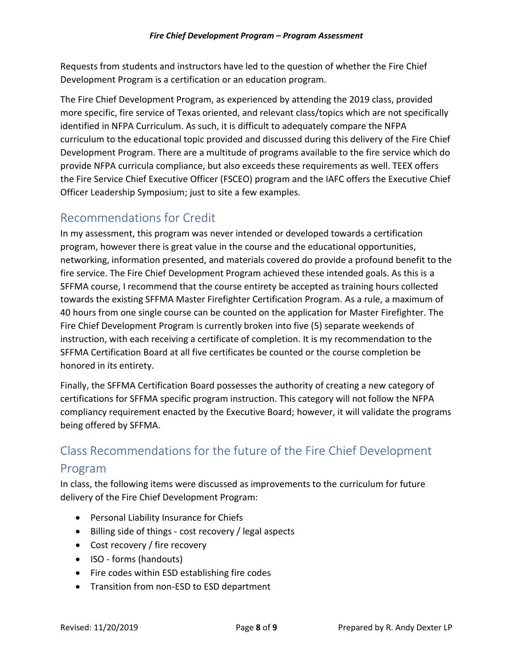Requests from students and instructors have led to the question of whether the Fire Chief Development Program is a certification or an education program.

The Fire Chief Development Program, as experienced by attending the 2019 class, provided more specific, fire service of Texas oriented, and relevant class/topics which are not specifically identified in NFPA Curriculum. As such, it is difficult to adequately compare the NFPA curriculum to the educational topic provided and discussed during this delivery of the Fire Chief Development Program. There are a multitude of programs available to the fire service which do provide NFPA curricula compliance, but also exceeds these requirements as well. TEEX offers the Fire Service Chief Executive Officer (FSCEO) program and the IAFC offers the Executive Chief Officer Leadership Symposium; just to site a few examples.

## Recommendations for Credit

In my assessment, this program was never intended or developed towards a certification program, however there is great value in the course and the educational opportunities, networking, information presented, and materials covered do provide a profound benefit to the fire service. The Fire Chief Development Program achieved these intended goals. As this is a SFFMA course, I recommend that the course entirety be accepted as training hours collected towards the existing SFFMA Master Firefighter Certification Program. As a rule, a maximum of 40 hours from one single course can be counted on the application for Master Firefighter. The Fire Chief Development Program is currently broken into five (5) separate weekends of instruction, with each receiving a certificate of completion. It is my recommendation to the SFFMA Certification Board at all five certificates be counted or the course completion be honored in its entirety.

Finally, the SFFMA Certification Board possesses the authority of creating a new category of certifications for SFFMA specific program instruction. This category will not follow the NFPA compliancy requirement enacted by the Executive Board; however, it will validate the programs being offered by SFFMA.

## Class Recommendations for the future of the Fire Chief Development

#### Program

In class, the following items were discussed as improvements to the curriculum for future delivery of the Fire Chief Development Program:

- Personal Liability Insurance for Chiefs
- Billing side of things cost recovery / legal aspects
- Cost recovery / fire recovery
- ISO forms (handouts)
- Fire codes within ESD establishing fire codes
- Transition from non-ESD to ESD department